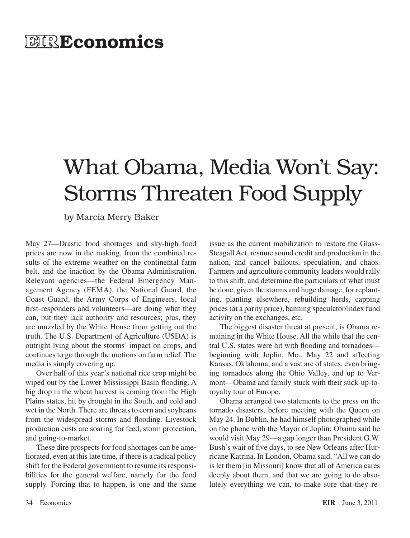# **EIRE**conomics

# What Obama, Media Won't Say: Storms Threaten Food Supply

by Marcia Merry Baker

May 27—Drastic food shortages and sky-high food prices are now in the making, from the combined results of the extreme weather on the continental farm belt, and the inaction by the Obama Administration. Relevant agencies—the Federal Emergency Management Agency (FEMA), the National Guard, the Coast Guard, the Army Corps of Engineers, local first-responders and volunteers—are doing what they can, but they lack authority and resources; plus, they are muzzled by the White House from getting out the truth. The U.S. Department of Agriculture (USDA) is outright lying about the storms' impact on crops, and continues to go through the motions on farm relief. The media is simply covering up.

Over half of this year's national rice crop might be wiped out by the Lower Mississippi Basin flooding. A big drop in the wheat harvest is coming from the High Plains states, hit by drought in the South, and cold and wet in the North. There are threats to corn and soybeans from the widespread storms and flooding. Livestock production costs are soaring for feed, storm protection, and going-to-market.

These dire prospects for food shortages can be ameliorated, even at this late time, if there is a radical policy shift for the Federal government to resume its responsibilities for the general welfare, namely for the food supply. Forcing that to happen, is one and the same issue as the current mobilization to restore the Glass-Steagall Act, resume sound credit and production in the nation, and cancel bailouts, speculation, and chaos. Farmers and agriculture community leaders would rally to this shift, and determine the particulars of what must be done, given the storms and huge damage, for replanting, planting elsewhere, rebuilding herds, capping prices(at a parity price), banning speculator/index fund activity on the exchanges, etc.

The biggest disaster threat at present, is Obama remaining in the White House. All the while that the central U.S. states were hit with flooding and tornadoes beginning with Joplin, Mo., May 22 and affecting Kansas, Oklahoma, and a vast arc of states, even bringing tornadoes along the Ohio Valley, and up to Vermont—Obama and family stuck with their suck-up-toroyalty tour of Europe.

Obama arranged two statements to the press on the tornado disasters, before meeting with the Queen on May 24. In Dublin, he had himself photographed while on the phone with the Mayor of Joplin; Obama said he would visit May 29—a gap longer than President G.W. Bush's wait of five days, to see New Orleans after Hurricane Katrina. In London, Obama said, "All we can do is let them [in Missouri] know that all of America cares deeply about them, and that we are going to do absolutely everything we can, to make sure that they re-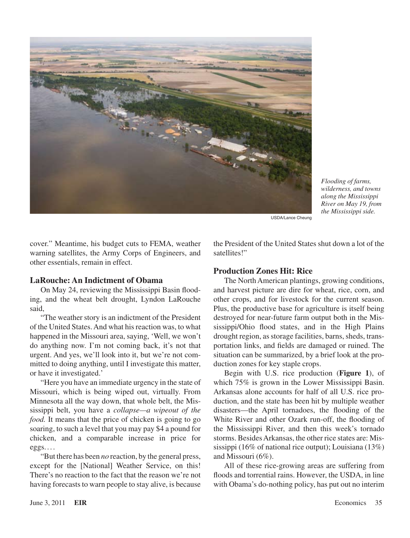

*Flooding of farms, wilderness, and towns along the Mississippi River on May 19, from the Mississippi side.*

USDA/Lance Cheung

cover." Meantime, his budget cuts to FEMA, weather warning satellites, the Army Corps of Engineers, and other essentials, remain in effect.

#### **LaRouche: An Indictment of Obama**

On May 24, reviewing the Mississippi Basin flooding, and the wheat belt drought, Lyndon LaRouche said,

"The weather story is an indictment of the President of the United States.And what hisreaction was, to what happened in the Missouri area, saying, 'Well, we won't do anything now. I'm not coming back, it's not that urgent. And yes, we'll look into it, but we're not committed to doing anything, until I investigate this matter, or have it investigated.'

"Here you have an immediate urgency in the state of Missouri, which is being wiped out, virtually. From Minnesota all the way down, that whole belt, the Mississippi belt, you have a *collapse—a wipeout of the food.* It means that the price of chicken is going to go soaring, to such a level that you may pay \$4 a pound for chicken, and a comparable increase in price for eggs. ...

"But there has been *no* reaction, by the general press, except for the [National] Weather Service, on this! There's no reaction to the fact that the reason we're not having forecasts to warn people to stay alive, is because

the President of the United States shut down a lot of the satellites!"

# **Production Zones Hit: Rice**

The North American plantings, growing conditions, and harvest picture are dire for wheat, rice, corn, and other crops, and for livestock for the current season. Plus, the productive base for agriculture is itself being destroyed for near-future farm output both in the Mississippi/Ohio flood states, and in the High Plains drought region, as storage facilities, barns, sheds, transportation links, and fields are damaged or ruined. The situation can be summarized, by a brief look at the production zones for key staple crops.

Begin with U.S. rice production (**Figure 1**), of which 75% is grown in the Lower Mississippi Basin. Arkansas alone accounts for half of all U.S. rice production, and the state has been hit by multiple weather disasters—the April tornadoes, the flooding of the White River and other Ozark run-off, the flooding of the Mississippi River, and then this week's tornado storms. Besides Arkansas, the other rice states are: Mississippi (16% of national rice output); Louisiana (13%) and Missouri (6%).

All of these rice-growing areas are suffering from floods and torrential rains. However, the USDA, in line with Obama's do-nothing policy, has put out no interim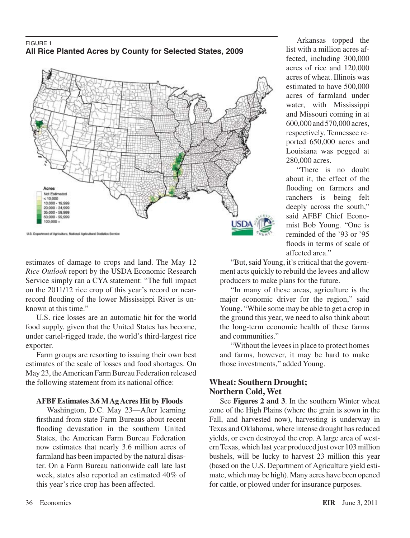#### FIGURE 1 **All Rice Planted Acres by County for Selected States, 2009**



estimates of damage to crops and land. The May 12 *Rice Outlook* report by the USDA Economic Research Service simply ran a CYA statement: "The full impact on the 2011/12 rice crop of this year's record or nearrecord flooding of the lower Mississippi River is unknown at this time."

U.S. rice losses are an automatic hit for the world food supply, given that the United States has become, under cartel-rigged trade, the world's third-largest rice exporter.

Farm groups are resorting to issuing their own best estimates of the scale of losses and food shortages. On May 23, the American Farm Bureau Federation released the following statement from its national office:

### **AFBF Estimates 3.6 M Ag Acres Hit by Floods**

Washington, D.C. May 23—After learning firsthand from state Farm Bureaus about recent flooding devastation in the southern United States, the American Farm Bureau Federation now estimates that nearly 3.6 million acres of farmland has been impacted by the natural disaster. On a Farm Bureau nationwide call late last week, states also reported an estimated 40% of this year's rice crop has been affected.

36 Economics **EIR** June 3, 2011

Arkansas topped the list with a million acres affected, including 300,000 acres of rice and 120,000 acres of wheat. Illinois was estimated to have 500,000 acres of farmland under water, with Mississippi and Missouri coming in at 600,000 and 570,000 acres, respectively. Tennessee reported 650,000 acres and Louisiana was pegged at 280,000 acres.

"There is no doubt about it, the effect of the flooding on farmers and ranchers is being felt deeply across the south," said AFBF Chief Economist Bob Young. "One is reminded of the '93 or '95 floods in terms of scale of affected area."

"But, said Young, it's critical that the government acts quickly to rebuild the levees and allow producers to make plans for the future.

"In many of these areas, agriculture is the major economic driver for the region," said Young. "While some may be able to get a crop in the ground this year, we need to also think about the long-term economic health of these farms and communities."

"Without the levees in place to protect homes and farms, however, it may be hard to make those investments," added Young.

# **Wheat: Southern Drought; Northern Cold, Wet**

See **Figures 2 and 3**. In the southern Winter wheat zone of the High Plains (where the grain is sown in the Fall, and harvested now), harvesting is underway in Texas and Oklahoma, where intense drought has reduced yields, or even destroyed the crop. A large area of westernTexas, which last year produced just over 103 million bushels, will be lucky to harvest 23 million this year (based on the U.S. Department of Agriculture yield estimate, which may be high). Many acres have been opened for cattle, or plowed under for insurance purposes.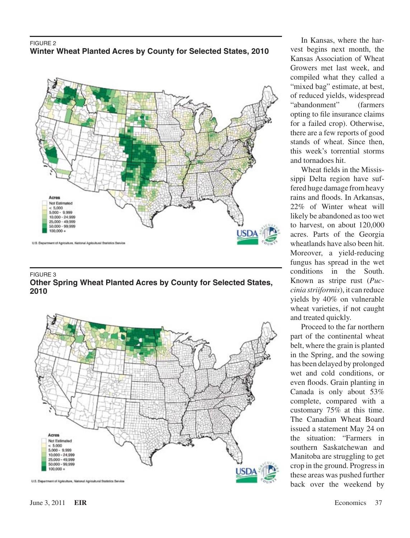



#### FIGURE 3 **Other Spring Wheat Planted Acres by County for Selected States, 2010**



In Kansas, where the harvest begins next month, the Kansas Association of Wheat Growers met last week, and compiled what they called a "mixed bag" estimate, at best, of reduced yields, widespread "abandonment" (farmers opting to file insurance claims for a failed crop). Otherwise, there are a few reports of good stands of wheat. Since then, this week's torrential storms and tornadoes hit.

Wheat fields in the Mississippi Delta region have suffered huge damage fromheavy rains and floods. In Arkansas, 22% of Winter wheat will likely be abandoned astoo wet to harvest, on about 120,000 acres. Parts of the Georgia wheatlands have also been hit. Moreover, a yield-reducing fungus has spread in the wet conditions in the South. Known as stripe rust (*Puccinia striiformis*), it can reduce yields by 40% on vulnerable wheat varieties, if not caught and treated quickly.

Proceed to the far northern part of the continental wheat belt, where the grain is planted in the Spring, and the sowing has been delayed by prolonged wet and cold conditions, or even floods. Grain planting in Canada is only about 53% complete, compared with a customary 75% at this time. The Canadian Wheat Board issued a statement May 24 on the situation: "Farmers in southern Saskatchewan and Manitoba are struggling to get crop in the ground. Progressin these areas was pushed further back over the weekend by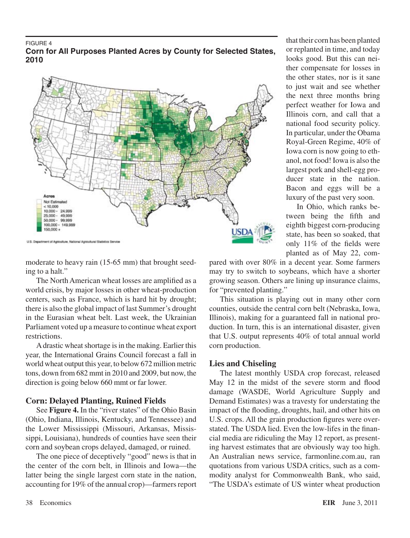#### FIGURE 4 **Corn for All Purposes Planted Acres by County for Selected States, 2010**



that their corn has been planted or replanted in time, and today looks good. But this can neither compensate for losses in the other states, nor is it sane to just wait and see whether the next three months bring perfect weather for Iowa and Illinois corn, and call that a national food security policy. In particular, under the Obama Royal-Green Regime, 40% of Iowa corn is now going to ethanol, not food! Iowa is also the largest pork and shell-egg producer state in the nation. Bacon and eggs will be a luxury of the past very soon.

In Ohio, which ranks between being the fifth and eighth biggest corn-producing state, has been so soaked, that only 11% of the fields were planted as of May 22, com-

moderate to heavy rain (15-65 mm) that brought seeding to a halt."

The North American wheat losses are amplified as a world crisis, by major losses in other wheat-production centers, such as France, which is hard hit by drought; there is also the global impact of last Summer's drought in the Eurasian wheat belt. Last week, the Ukrainian Parliament voted up a measure to continue wheat export restrictions.

A drastic wheat shortage is in the making. Earlier this year, the International Grains Council forecast a fall in world wheat output this year, to below 672 million metric tons, down from 682 mmt in 2010 and 2009, but now, the direction is going below 660 mmt or far lower.

# **Corn: Delayed Planting, Ruined Fields**

See **Figure 4.** In the "river states" of the Ohio Basin (Ohio, Indiana, Illinois, Kentucky, and Tennessee) and the Lower Mississippi (Missouri, Arkansas, Mississippi, Louisiana), hundreds of counties have seen their corn and soybean crops delayed, damaged, or ruined.

The one piece of deceptively "good" news is that in the center of the corn belt, in Illinois and Iowa—the latter being the single largest corn state in the nation, accounting for  $19\%$  of the annual crop)—farmers report

pared with over 80% in a decent year. Some farmers may try to switch to soybeans, which have a shorter growing season. Others are lining up insurance claims, for "prevented planting."

This situation is playing out in many other corn counties, outside the central corn belt (Nebraska, Iowa, Illinois), making for a guaranteed fall in national production. In turn, this is an international disaster, given that U.S. output represents 40% of total annual world corn production.

# **Lies and Chiseling**

The latest monthly USDA crop forecast, released May 12 in the midst of the severe storm and flood damage (WASDE, World Agriculture Supply and Demand Estimates) was a travesty for understating the impact of the flooding, droughts, hail, and other hits on U.S. crops. All the grain production figures were overstated. The USDA lied. Even the low-lifes in the financial media are ridiculing the May 12 report, as presenting harvest estimates that are obviously way too high. An Australian news service, farmonline.com.au, ran quotations from various USDA critics, such as a commodity analyst for Commonwealth Bank, who said, "The USDA's estimate of US winter wheat production